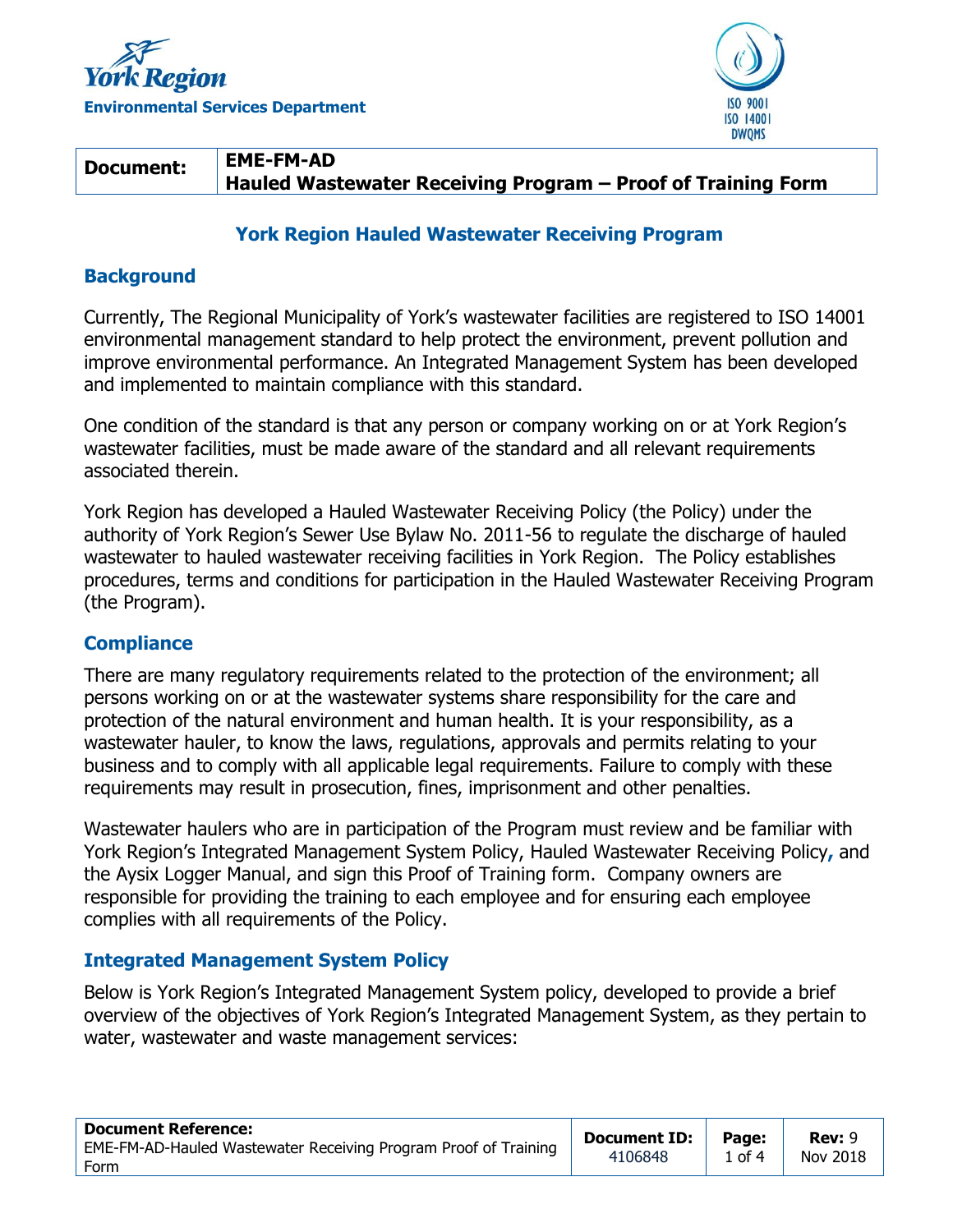



#### **Document: EME-FM-AD Hauled Wastewater Receiving Program – Proof of Training Form**

## **York Region Hauled Wastewater Receiving Program**

# **Background**

Currently, The Regional Municipality of York's wastewater facilities are registered to ISO 14001 environmental management standard to help protect the environment, prevent pollution and improve environmental performance. An Integrated Management System has been developed and implemented to maintain compliance with this standard.

One condition of the standard is that any person or company working on or at York Region's wastewater facilities, must be made aware of the standard and all relevant requirements associated therein.

York Region has developed a Hauled Wastewater Receiving Policy (the Policy) under the authority of York Region's Sewer Use Bylaw No. 2011-56 to regulate the discharge of hauled wastewater to hauled wastewater receiving facilities in York Region. The Policy establishes procedures, terms and conditions for participation in the Hauled Wastewater Receiving Program (the Program).

## **Compliance**

There are many regulatory requirements related to the protection of the environment; all persons working on or at the wastewater systems share responsibility for the care and protection of the natural environment and human health. It is your responsibility, as a wastewater hauler, to know the laws, regulations, approvals and permits relating to your business and to comply with all applicable legal requirements. Failure to comply with these requirements may result in prosecution, fines, imprisonment and other penalties.

Wastewater haulers who are in participation of the Program must review and be familiar with York Region's Integrated Management System Policy, Hauled Wastewater Receiving Policy**,** and the Aysix Logger Manual, and sign this Proof of Training form. Company owners are responsible for providing the training to each employee and for ensuring each employee complies with all requirements of the Policy.

## **Integrated Management System Policy**

Below is York Region's Integrated Management System policy, developed to provide a brief overview of the objectives of York Region's Integrated Management System, as they pertain to water, wastewater and waste management services:

| <b>Document Reference:</b>                                      | Document ID: | Page:  | <b>Rev: 9</b> |
|-----------------------------------------------------------------|--------------|--------|---------------|
| EME-FM-AD-Hauled Wastewater Receiving Program Proof of Training | 4106848      | 1 of 4 | Nov 2018      |
| Form                                                            |              |        |               |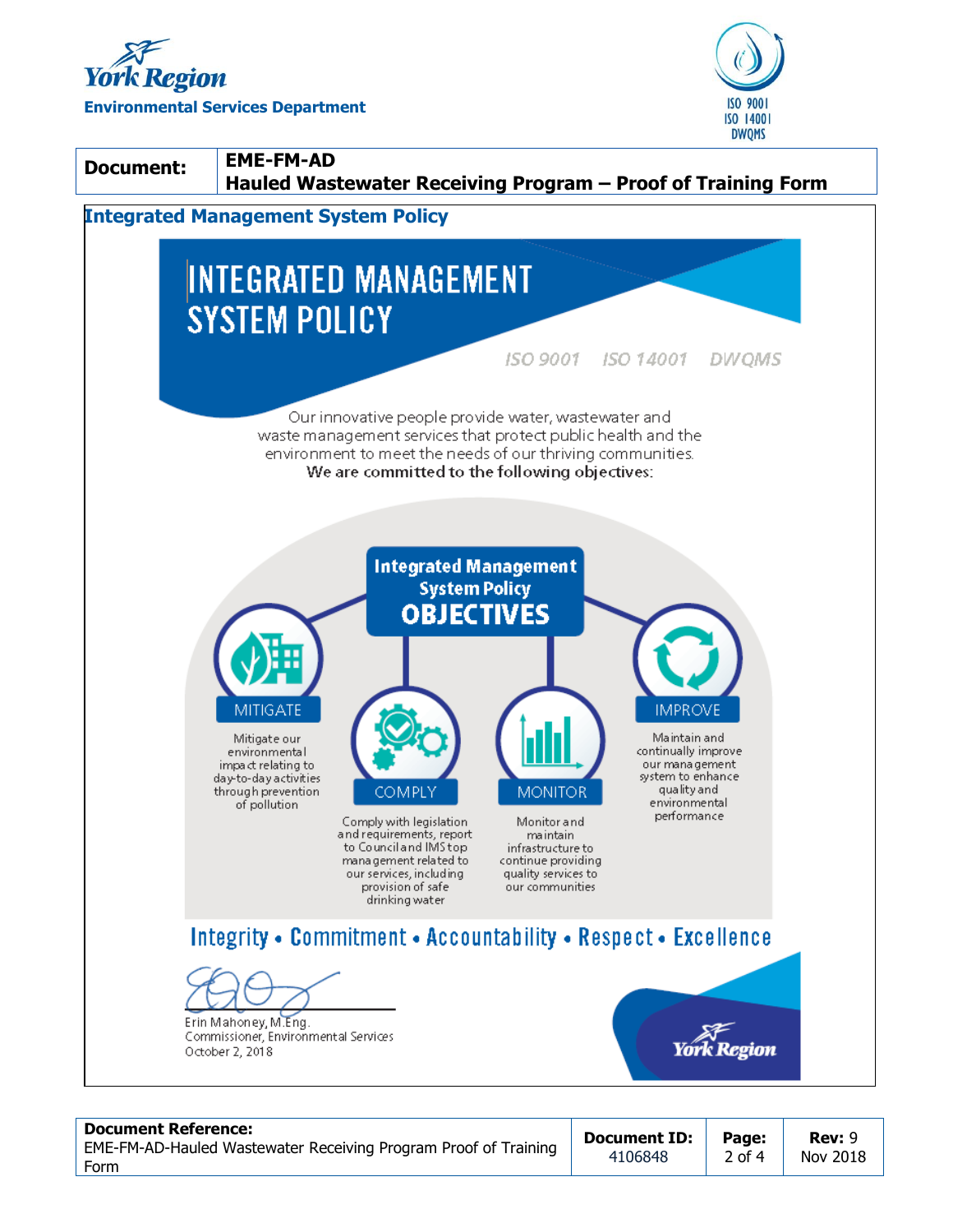





#### **Document Reference:**

EME-FM-AD-Hauled Wastewater Receiving Program Proof of Training Form

**Document ID:** 4106848

**Rev:** 9 Nov 2018

**Page:** 2 of 4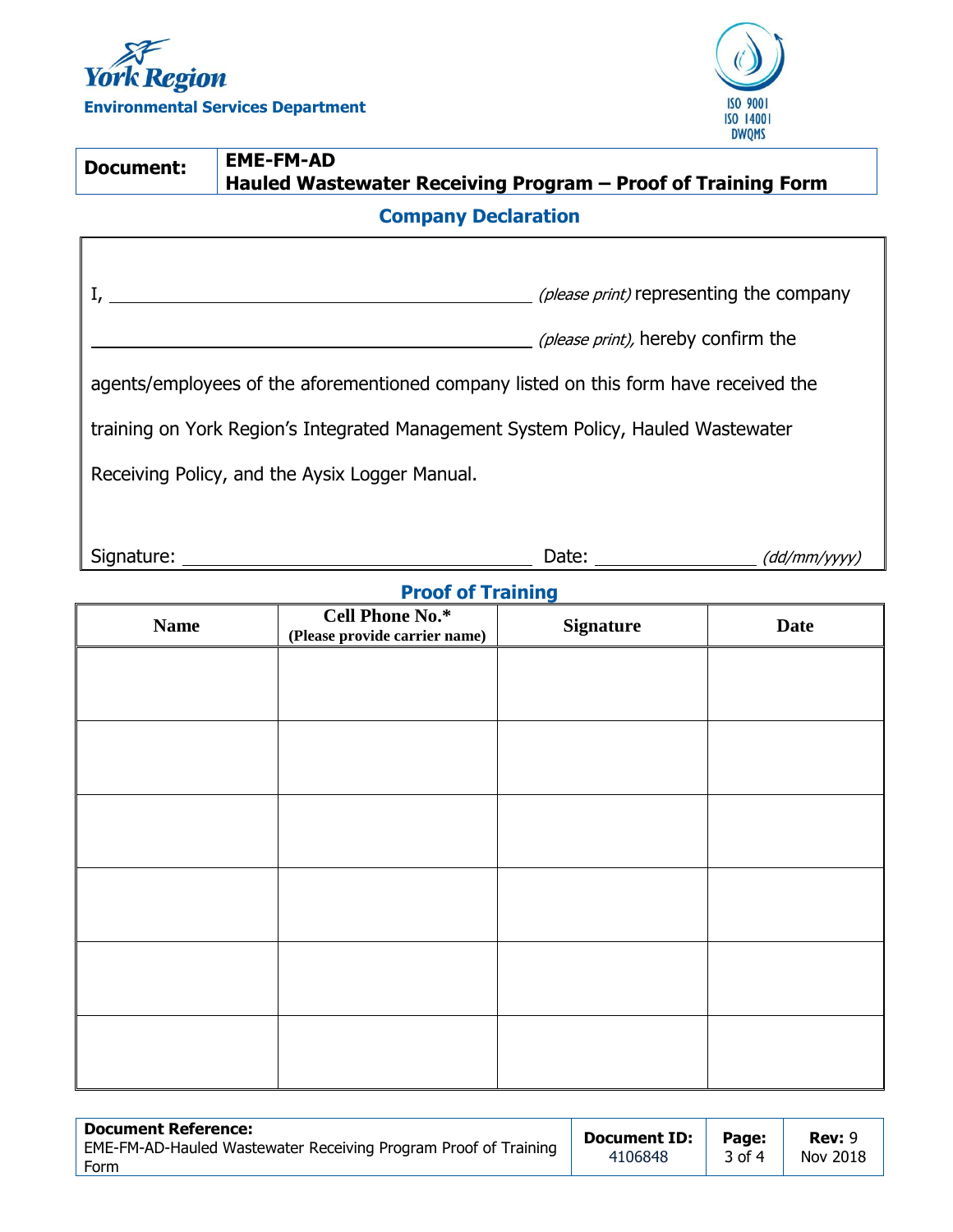



| <b>Document:</b>                                                                     | <b>EME-FM-AD</b><br>Hauled Wastewater Receiving Program - Proof of Training Form |                                                        |              |  |
|--------------------------------------------------------------------------------------|----------------------------------------------------------------------------------|--------------------------------------------------------|--------------|--|
| <b>Company Declaration</b>                                                           |                                                                                  |                                                        |              |  |
|                                                                                      |                                                                                  |                                                        |              |  |
| ( <i>please print</i> ) representing the company                                     |                                                                                  |                                                        |              |  |
| (please print), hereby confirm the                                                   |                                                                                  |                                                        |              |  |
| agents/employees of the aforementioned company listed on this form have received the |                                                                                  |                                                        |              |  |
| training on York Region's Integrated Management System Policy, Hauled Wastewater     |                                                                                  |                                                        |              |  |
| Receiving Policy, and the Aysix Logger Manual.                                       |                                                                                  |                                                        |              |  |
|                                                                                      |                                                                                  |                                                        |              |  |
| Signature: ___                                                                       |                                                                                  | Date: $\frac{1}{\sqrt{1-\frac{1}{2}}\cdot\frac{1}{2}}$ | (dd/mm/yyyy) |  |
| <b>Proof of Training</b>                                                             |                                                                                  |                                                        |              |  |
| <b>Name</b>                                                                          | <b>Cell Phone No.*</b><br>(Please provide carrier name)                          | <b>Signature</b>                                       | <b>Date</b>  |  |
|                                                                                      |                                                                                  |                                                        |              |  |
|                                                                                      |                                                                                  |                                                        |              |  |

| <b>Document Reference:</b>                                      | <b>Document ID:</b> | Page:  | <b>Rev: 9</b> |
|-----------------------------------------------------------------|---------------------|--------|---------------|
| EME-FM-AD-Hauled Wastewater Receiving Program Proof of Training | 4106848             | 3 of 4 | Nov 2018      |
| Form                                                            |                     |        |               |